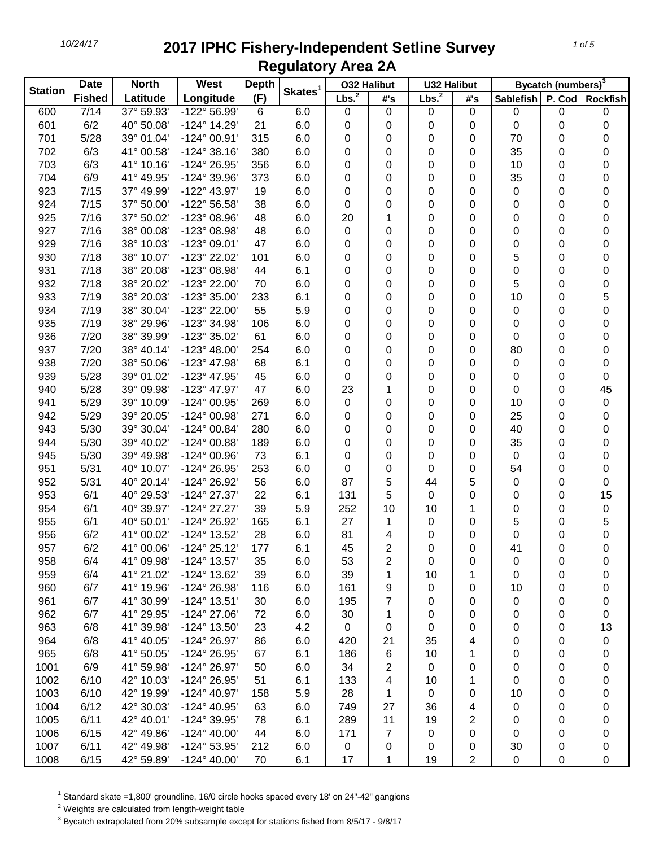| <b>Station</b> | <b>Date</b>   | <b>North</b> | West                  | <b>Depth</b> | Skates <sup>1</sup> | <b>032 Halibut</b> |                | <b>U32 Halibut</b> |           | Bycatch (numbers) <sup>3</sup> |        |                 |
|----------------|---------------|--------------|-----------------------|--------------|---------------------|--------------------|----------------|--------------------|-----------|--------------------------------|--------|-----------------|
|                | <b>Fished</b> | Latitude     | Longitude             | (F)          |                     | Lbs. <sup>2</sup>  | #'s            | Lbs. <sup>2</sup>  | #'s       | Sablefish                      | P. Cod | <b>Rockfish</b> |
| 600            | 7/14          | 37° 59.93'   | -122° 56.99'          | 6            | 6.0                 | 0                  | $\pmb{0}$      | 0                  | $\pmb{0}$ | 0                              | 0      | $\pmb{0}$       |
| 601            | 6/2           | 40° 50.08'   | -124° 14.29'          | 21           | 6.0                 | 0                  | 0              | 0                  | 0         | 0                              | 0      | 0               |
| 701            | 5/28          | 39° 01.04'   | -124° 00.91'          | 315          | 6.0                 | 0                  | 0              | 0                  | 0         | 70                             | 0      | 0               |
| 702            | 6/3           | 41° 00.58'   | $-124^{\circ}38.16'$  | 380          | 6.0                 | 0                  | 0              | 0                  | 0         | 35                             | 0      | 0               |
| 703            | 6/3           | 41° 10.16'   | -124° 26.95'          | 356          | 6.0                 | 0                  | 0              | 0                  | 0         | 10                             | 0      | 0               |
| 704            | 6/9           | 41° 49.95'   | -124° 39.96'          | 373          | 6.0                 | 0                  | 0              | 0                  | 0         | 35                             | 0      | 0               |
| 923            | 7/15          | 37° 49.99'   | -122° 43.97'          | 19           | 6.0                 | 0                  | 0              | 0                  | 0         | 0                              | 0      | 0               |
| 924            | 7/15          | 37° 50.00'   | -122° 56.58'          | 38           | 6.0                 | 0                  | 0              | 0                  | 0         | 0                              | 0      | 0               |
| 925            | 7/16          | 37° 50.02'   | -123° 08.96'          | 48           | 6.0                 | 20                 | 1              | 0                  | 0         | 0                              | 0      | 0               |
| 927            | 7/16          | 38° 00.08'   | -123° 08.98'          | 48           | 6.0                 | 0                  | 0              | 0                  | 0         | 0                              | 0      | $\pmb{0}$       |
| 929            | 7/16          | 38° 10.03'   | -123° 09.01'          | 47           | 6.0                 | 0                  | 0              | 0                  | 0         | 0                              | 0      | $\pmb{0}$       |
| 930            | 7/18          | 38° 10.07'   | -123° 22.02'          | 101          | 6.0                 | 0                  | 0              | 0                  | 0         | 5                              | 0      | 0               |
| 931            | 7/18          | 38° 20.08'   | -123° 08.98'          | 44           | 6.1                 | 0                  | 0              | 0                  | 0         | 0                              | 0      | 0               |
| 932            | 7/18          | 38° 20.02'   | -123° 22.00'          | 70           | 6.0                 | 0                  | 0              | 0                  | 0         | 5                              | 0      | $\mathbf 0$     |
| 933            | 7/19          | 38° 20.03'   | -123° 35.00'          | 233          | 6.1                 | 0                  | 0              | 0                  | 0         | 10                             | 0      | 5               |
| 934            | 7/19          | 38° 30.04'   | -123° 22.00'          | 55           | 5.9                 | 0                  | 0              | 0                  | 0         | 0                              | 0      | 0               |
| 935            | 7/19          | 38° 29.96'   | -123° 34.98'          | 106          | 6.0                 | 0                  | 0              | 0                  | 0         | 0                              | 0      | 0               |
| 936            | 7/20          | 38° 39.99'   | -123° 35.02'          | 61           | 6.0                 | 0                  | 0              | 0                  | 0         | 0                              | 0      | 0               |
| 937            | 7/20          | 38° 40.14'   | -123° 48.00'          | 254          | 6.0                 | 0                  | 0              | 0                  | 0         | 80                             | 0      | 0               |
| 938            | 7/20          | 38° 50.06'   | -123° 47.98'          | 68           | 6.1                 | 0                  | 0              | 0                  | 0         | 0                              | 0      | 0               |
| 939            | 5/28          | 39° 01.02'   | -123° 47.95'          | 45           | 6.0                 | 0                  | 0              | 0                  | 0         | 0                              | 0      | 0               |
| 940            | 5/28          | 39° 09.98'   | -123° 47.97'          | 47           | 6.0                 | 23                 | 1              | 0                  | 0         | 0                              | 0      | 45              |
| 941            | 5/29          | 39° 10.09'   | -124° 00.95'          | 269          | 6.0                 | 0                  | 0              | 0                  | 0         | 10                             | 0      | 0               |
| 942            | 5/29          | 39° 20.05'   | -124° 00.98'          | 271          | 6.0                 | 0                  | 0              | 0                  | 0         | 25                             | 0      | 0               |
| 943            | 5/30          | 39° 30.04'   | -124° 00.84'          | 280          | 6.0                 | 0                  | 0              | 0                  | 0         | 40                             | 0      | 0               |
| 944            | 5/30          | 39° 40.02'   | -124° 00.88'          | 189          | 6.0                 | 0                  | 0              | 0                  | 0         | 35                             | 0      | 0               |
| 945            | 5/30          | 39° 49.98'   | -124° 00.96'          | 73           | 6.1                 | 0                  | 0              | 0                  | 0         | 0                              | 0      | 0               |
| 951            | 5/31          | 40° 10.07'   | -124° 26.95'          | 253          | 6.0                 | 0                  | 0              | 0                  | 0         | 54                             | 0      | 0               |
| 952            | 5/31          | 40° 20.14'   | -124° 26.92'          | 56           | 6.0                 | 87                 | 5              | 44                 | 5         | 0                              | 0      | $\mathbf 0$     |
| 953            | 6/1           | 40° 29.53'   | -124° 27.37'          | 22           | 6.1                 | 131                | 5              | 0                  | 0         | 0                              | 0      | 15              |
| 954            | 6/1           | 40° 39.97'   | -124° 27.27'          | 39           | 5.9                 | 252                | 10             | 10                 | 1         | 0                              | 0      | $\pmb{0}$       |
| 955            | 6/1           | 40° 50.01'   | -124° 26.92'          | 165          | 6.1                 | 27                 | 1              | 0                  | 0         | 5                              | 0      | 5               |
| 956            | 6/2           | 41° 00.02'   | -124° 13.52'          | 28           | 6.0                 | 81                 | 4              | 0                  | 0         | 0                              | 0      | 0               |
| 957            | 6/2           | 41° 00.06'   | $-124^{\circ} 25.12'$ | 177          | 6.1                 | 45                 | $\overline{c}$ | 0                  | 0         | 41                             | 0      | 0               |
| 958            | 6/4           | 41° 09.98'   | -124° 13.57'          | 35           | 6.0                 | 53                 | 2              | 0                  | 0         | 0                              | 0      | 0               |
| 959            | 6/4           | 41° 21.02'   | -124° 13.62'          | 39           | 6.0                 | 39                 | 1              | 10                 | 1         | 0                              | 0      | 0               |
| 960            | 6/7           | 41° 19.96'   | -124° 26.98'          | 116          | 6.0                 | 161                | 9              | 0                  | 0         | 10                             | 0      | 0               |
| 961            | 6/7           | 41° 30.99'   | $-124^{\circ}$ 13.51' | 30           | 6.0                 | 195                | 7              | 0                  | 0         | 0                              | 0      | 0               |
| 962            | 6/7           | 41° 29.95'   | $-124^{\circ}$ 27.06' | 72           | 6.0                 | 30                 | 1              | 0                  | 0         | 0                              | 0      | 0               |
| 963            | 6/8           | 41° 39.98'   | -124° 13.50'          | 23           | 4.2                 | 0                  | 0              | 0                  | 0         | 0                              | 0      | 13              |
| 964            | 6/8           | 41° 40.05'   | $-124^{\circ} 26.97'$ | 86           | 6.0                 | 420                | 21             | 35                 | 4         | 0                              | 0      | $\pmb{0}$       |
| 965            | 6/8           | 41° 50.05'   | -124° 26.95'          | 67           | 6.1                 | 186                | 6              | 10                 | 1         | 0                              | 0      | 0               |
| 1001           | 6/9           | 41° 59.98'   | -124° 26.97'          | 50           | 6.0                 | 34                 | 2              | 0                  | 0         | 0                              | 0      | 0               |
| 1002           | 6/10          | 42° 10.03'   | -124° 26.95'          | 51           | 6.1                 | 133                | 4              | 10                 | 1         | 0                              | 0      | 0               |
| 1003           | 6/10          | 42° 19.99'   | -124° 40.97'          | 158          | 5.9                 | 28                 | 1              | 0                  | 0         | 10                             | 0      | 0               |
| 1004           | 6/12          | 42° 30.03'   | -124° 40.95'          | 63           | 6.0                 | 749                | 27             | 36                 | 4         | 0                              | 0      | 0               |
| 1005           | 6/11          | 42° 40.01'   | -124° 39.95'          | 78           | 6.1                 | 289                | 11             | 19                 | 2         | 0                              | 0      | 0               |
| 1006           | 6/15          | 42° 49.86'   | $-124^{\circ}$ 40.00' | 44           | 6.0                 | 171                | 7              | 0                  | 0         | 0                              | 0      | 0               |
| 1007           | 6/11          | 42° 49.98'   | -124° 53.95'          | 212          | 6.0                 | 0                  | 0              | 0                  | 0         | 30                             | 0      | 0               |
| 1008           | 6/15          | 42° 59.89'   | $-124^{\circ}$ 40.00' | 70           | 6.1                 | 17                 | 1              | 19                 | 2         | $\pmb{0}$                      | 0      | 0               |

 $<sup>1</sup>$  Standard skate =1,800' groundline, 16/0 circle hooks spaced every 18' on 24"-42" gangions</sup>

Weights are calculated from length-weight table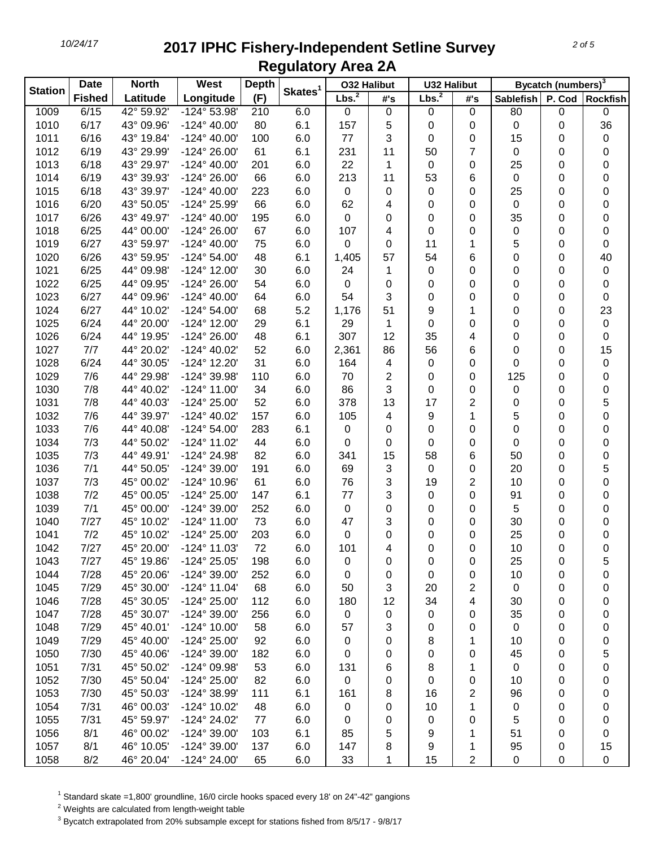|                | <b>Date</b>   | <b>North</b> | West                  | <b>Depth</b> |                     | <b>O32 Halibut</b> |           | <b>U32 Halibut</b> |     |                  | Bycatch (numbers) <sup>3</sup> |                   |
|----------------|---------------|--------------|-----------------------|--------------|---------------------|--------------------|-----------|--------------------|-----|------------------|--------------------------------|-------------------|
| <b>Station</b> | <b>Fished</b> | Latitude     | Longitude             | (F)          | Skates <sup>1</sup> | Lbs. <sup>2</sup>  | #'s       | Lbs. <sup>2</sup>  | #'s | <b>Sablefish</b> |                                | P. Cod   Rockfish |
| 1009           | 6/15          | 42° 59.92'   | $-124^{\circ} 53.98'$ | 210          | 6.0                 | 0                  | $\pmb{0}$ | 0                  | 0   | 80               | 0                              | $\mathbf 0$       |
| 1010           | 6/17          | 43° 09.96'   | $-124^{\circ}$ 40.00' | 80           | 6.1                 | 157                | 5         | 0                  | 0   | 0                | 0                              | 36                |
| 1011           | 6/16          | 43° 19.84'   | $-124^{\circ}$ 40.00' | 100          | 6.0                 | 77                 | 3         | 0                  | 0   | 15               | 0                              | $\pmb{0}$         |
| 1012           | 6/19          | 43° 29.99'   | -124° 26.00'          | 61           | 6.1                 | 231                | 11        | 50                 | 7   | 0                | 0                              | 0                 |
| 1013           | 6/18          | 43° 29.97'   | $-124^{\circ}$ 40.00' | 201          | 6.0                 | 22                 | 1         | 0                  | 0   | 25               | 0                              | 0                 |
| 1014           | 6/19          | 43° 39.93'   | -124° 26.00'          | 66           | 6.0                 | 213                | 11        | 53                 | 6   | 0                | 0                              | $\pmb{0}$         |
| 1015           | 6/18          | 43° 39.97'   | $-124^{\circ}$ 40.00' | 223          | 6.0                 | 0                  | 0         | 0                  | 0   | 25               | 0                              | $\pmb{0}$         |
| 1016           | 6/20          | 43° 50.05'   | -124° 25.99'          | 66           | 6.0                 | 62                 | 4         | 0                  | 0   | 0                | 0                              | 0                 |
| 1017           | 6/26          | 43° 49.97'   | $-124^{\circ}$ 40.00' | 195          | 6.0                 | 0                  | 0         | 0                  | 0   | 35               | 0                              | 0                 |
| 1018           | 6/25          | 44° 00.00'   | -124° 26.00'          | 67           | 6.0                 | 107                | 4         | 0                  | 0   | 0                | 0                              | $\pmb{0}$         |
| 1019           | 6/27          | 43° 59.97'   | $-124^{\circ}$ 40.00' | 75           | 6.0                 | 0                  | 0         | 11                 | 1   | 5                | 0                              | 0                 |
| 1020           | 6/26          | 43° 59.95'   | $-124^{\circ} 54.00'$ | 48           | 6.1                 | 1,405              | 57        | 54                 | 6   | 0                | 0                              | 40                |
| 1021           | 6/25          | 44° 09.98'   | -124° 12.00'          | 30           | 6.0                 | 24                 | 1         | 0                  | 0   | 0                | 0                              | $\pmb{0}$         |
| 1022           | 6/25          | 44° 09.95'   | -124° 26.00'          | 54           | 6.0                 | 0                  | 0         | 0                  | 0   | 0                | 0                              | 0                 |
| 1023           | 6/27          | 44° 09.96'   | $-124^{\circ}$ 40.00' | 64           | 6.0                 | 54                 | 3         | 0                  | 0   | 0                | 0                              | 0                 |
| 1024           | 6/27          | 44° 10.02'   | $-124^{\circ} 54.00'$ | 68           | 5.2                 | 1,176              | 51        | 9                  | 1   | 0                | 0                              | 23                |
| 1025           | 6/24          | 44° 20.00'   | -124° 12.00'          | 29           | 6.1                 | 29                 | 1         | 0                  | 0   | 0                | 0                              | $\pmb{0}$         |
| 1026           | 6/24          | 44° 19.95'   | -124° 26.00'          | 48           | 6.1                 | 307                | 12        | 35                 | 4   | 0                | 0                              | $\mathbf 0$       |
| 1027           | 7/7           | 44° 20.02'   | $-124^{\circ}$ 40.02' | 52           | 6.0                 | 2,361              | 86        | 56                 | 6   | 0                | 0                              | 15                |
| 1028           | 6/24          | 44° 30.05'   | -124° 12.20'          | 31           | 6.0                 | 164                | 4         | 0                  | 0   | 0                | 0                              | $\pmb{0}$         |
| 1029           | 7/6           | 44° 29.98'   | -124° 39.98'          | 110          | 6.0                 | 70                 | 2         | 0                  | 0   | 125              | 0                              | 0                 |
| 1030           | 7/8           | 44° 40.02'   | $-124^{\circ}$ 11.00' | 34           | 6.0                 | 86                 | 3         | 0                  | 0   | 0                | 0                              | $\pmb{0}$         |
| 1031           | 7/8           | 44° 40.03'   | -124° 25.00'          | 52           | 6.0                 | 378                | 13        | 17                 | 2   | 0                | 0                              | 5                 |
| 1032           | 7/6           | 44° 39.97'   | -124° 40.02'          | 157          | 6.0                 | 105                | 4         | 9                  | 1   | 5                | 0                              | $\pmb{0}$         |
| 1033           | 7/6           | 44° 40.08'   | $-124^{\circ} 54.00'$ | 283          | 6.1                 | 0                  | 0         | 0                  | 0   | 0                | 0                              | 0                 |
| 1034           | 7/3           | 44° 50.02'   | -124° 11.02'          | 44           | 6.0                 | 0                  | 0         | 0                  | 0   | 0                | 0                              | $\pmb{0}$         |
| 1035           | 7/3           | 44° 49.91'   | -124° 24.98'          | 82           | 6.0                 | 341                | 15        | 58                 | 6   | 50               | 0                              | $\mathbf 0$       |
| 1036           | 7/1           | 44° 50.05'   | -124° 39.00'          | 191          | 6.0                 | 69                 | 3         | 0                  | 0   | 20               | 0                              | 5                 |
| 1037           | 7/3           | 45° 00.02'   | -124° 10.96'          | 61           | 6.0                 | 76                 | 3         | 19                 | 2   | 10               | 0                              | 0                 |
| 1038           | 7/2           | 45° 00.05'   | $-124^{\circ} 25.00'$ | 147          | 6.1                 | 77                 | 3         | 0                  | 0   | 91               | 0                              | 0                 |
| 1039           | 7/1           | 45° 00.00'   | $-124^{\circ} 39.00'$ | 252          | 6.0                 | 0                  | 0         | 0                  | 0   | 5                | 0                              | 0                 |
| 1040           | 7/27          | 45° 10.02'   | $-124^{\circ}$ 11.00' | 73           | 6.0                 | 47                 | 3         | 0                  | 0   | 30               | 0                              | 0                 |
| 1041           | 7/2           | 45° 10.02'   | -124° 25.00'          | 203          | 6.0                 | 0                  | 0         | 0                  | 0   | 25               | 0                              | 0                 |
| 1042           | 7/27          | 45° 20.00'   | -124° 11.03'          | 72           | 6.0                 | 101                | 4         | 0                  | 0   | 10               | 0                              | 0                 |
| 1043           | 7/27          | 45° 19.86'   | $-124^{\circ} 25.05'$ | 198          | 6.0                 | 0                  | 0         | 0                  | 0   | 25               | 0                              | 5                 |
| 1044           | 7/28          | 45° 20.06'   | -124° 39.00'          | 252          | 6.0                 | 0                  | 0         | 0                  | 0   | 10               | 0                              | 0                 |
| 1045           | 7/29          | 45° 30.00'   | $-124^{\circ}$ 11.04' | 68           | 6.0                 | 50                 | 3         | 20                 | 2   | $\mathbf 0$      | 0                              | 0                 |
| 1046           | 7/28          | 45° 30.05'   | -124° 25.00'          | 112          | 6.0                 | 180                | 12        | 34                 | 4   | 30               | 0                              | 0                 |
| 1047           | 7/28          | 45° 30.07'   | -124° 39.00'          | 256          | 6.0                 | $\pmb{0}$          | 0         | 0                  | 0   | 35               | 0                              | 0                 |
| 1048           | 7/29          | 45° 40.01'   | -124° 10.00'          | 58           | 6.0                 | 57                 | 3         | 0                  | 0   | 0                | 0                              | 0                 |
| 1049           | 7/29          | 45° 40.00'   | -124° 25.00'          | 92           | 6.0                 | 0                  | 0         | 8                  | 1   | 10               | 0                              | 0                 |
| 1050           | 7/30          | 45° 40.06'   | -124° 39.00'          | 182          | 6.0                 | 0                  | 0         | 0                  | 0   | 45               | 0                              | 5                 |
| 1051           | 7/31          | 45° 50.02'   | -124° 09.98'          | 53           | 6.0                 | 131                | 6         | 8                  |     | 0                | 0                              | 0                 |
| 1052           | 7/30          | 45° 50.04'   | -124° 25.00'          | 82           | 6.0                 | 0                  | 0         | 0                  | 0   | 10               | 0                              | 0                 |
| 1053           | 7/30          | 45° 50.03'   | -124° 38.99'          | 111          | 6.1                 | 161                | 8         | 16                 | 2   | 96               | 0                              | 0                 |
| 1054           | 7/31          | 46° 00.03'   | -124° 10.02'          | 48           | 6.0                 | 0                  | 0         | 10                 |     | 0                | 0                              | 0                 |
| 1055           | 7/31          | 45° 59.97'   | -124° 24.02'          | 77           | 6.0                 | 0                  | 0         | 0                  | 0   | 5                | 0                              | 0                 |
| 1056           | 8/1           | 46° 00.02'   | -124° 39.00'          | 103          | 6.1                 | 85                 | 5         | 9                  | 1   | 51               | 0                              | 0                 |
| 1057           | 8/1           | 46° 10.05'   | -124° 39.00'          | 137          | 6.0                 | 147                | 8         | 9                  | 1   | 95               | 0                              | 15                |
| 1058           | 8/2           | 46° 20.04'   | $-124^{\circ} 24.00'$ | 65           | 6.0                 | 33                 | 1         | 15                 | 2   | 0                | $\pmb{0}$                      | $\pmb{0}$         |

 $<sup>1</sup>$  Standard skate =1,800' groundline, 16/0 circle hooks spaced every 18' on 24"-42" gangions</sup>

Weights are calculated from length-weight table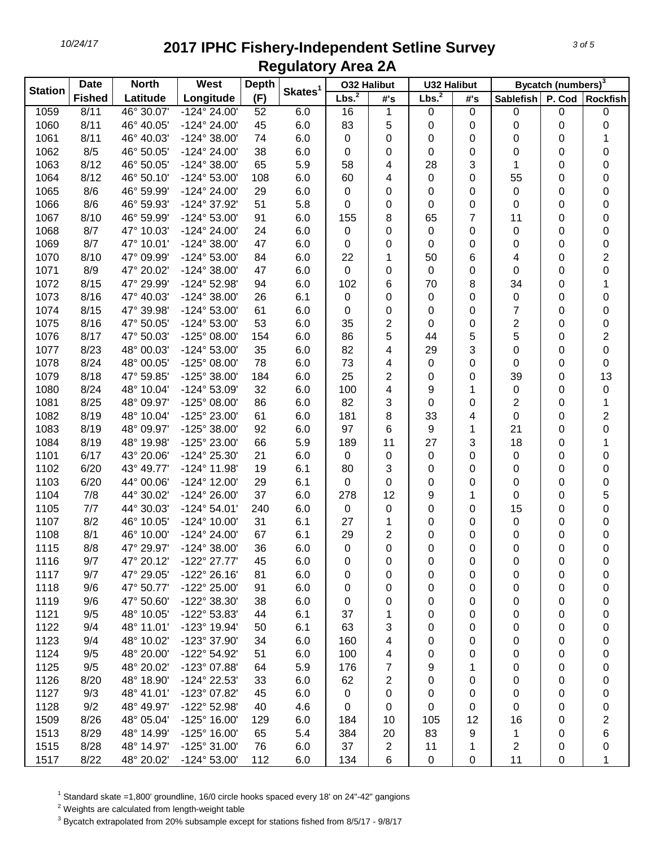| <b>Station</b> | <b>Date</b>   | <b>North</b> | West                  | <b>Depth</b> |                     | <b>032 Halibut</b> |    | <b>U32 Halibut</b> |                | Bycatch (numbers) <sup>3</sup> |           |                         |
|----------------|---------------|--------------|-----------------------|--------------|---------------------|--------------------|----|--------------------|----------------|--------------------------------|-----------|-------------------------|
|                | <b>Fished</b> | Latitude     | Longitude             | (F)          | Skates <sup>1</sup> | Lbs. <sup>2</sup>  | #s | Lbs. <sup>2</sup>  | #'s            | <b>Sablefish</b>               |           | P. Cod Rockfish         |
| 1059           | 8/11          | 46° 30.07'   | -124° 24.00'          | 52           | 6.0                 | 16                 | 1  | 0                  | 0              | 0                              | $\pmb{0}$ | 0                       |
| 1060           | 8/11          | 46° 40.05'   | -124° 24.00'          | 45           | 6.0                 | 83                 | 5  | 0                  | 0              | 0                              | 0         | 0                       |
| 1061           | 8/11          | 46° 40.03'   | $-124^{\circ} 38.00'$ | 74           | 6.0                 | 0                  | 0  | 0                  | 0              | 0                              | 0         | 1                       |
| 1062           | 8/5           | 46° 50.05'   | -124° 24.00'          | 38           | 6.0                 | 0                  | 0  | 0                  | 0              | 0                              | 0         | 0                       |
| 1063           | 8/12          | 46° 50.05'   | $-124^{\circ} 38.00'$ | 65           | 5.9                 | 58                 | 4  | 28                 | 3              | 1                              | 0         | 0                       |
| 1064           | 8/12          | 46° 50.10'   | $-124^{\circ} 53.00'$ | 108          | 6.0                 | 60                 | 4  | 0                  | 0              | 55                             | 0         | 0                       |
| 1065           | 8/6           | 46° 59.99'   | $-124^{\circ} 24.00'$ | 29           | 6.0                 | 0                  | 0  | 0                  | 0              | 0                              | 0         | 0                       |
| 1066           | 8/6           | 46° 59.93'   | -124° 37.92'          | 51           | 5.8                 | 0                  | 0  | 0                  | 0              | 0                              | 0         | $\pmb{0}$               |
| 1067           | 8/10          | 46° 59.99'   | $-124^{\circ} 53.00'$ | 91           | 6.0                 | 155                | 8  | 65                 | $\overline{7}$ | 11                             | 0         | $\pmb{0}$               |
| 1068           | 8/7           | 47° 10.03'   | -124° 24.00'          | 24           | 6.0                 | 0                  | 0  | 0                  | 0              | 0                              | 0         | $\pmb{0}$               |
| 1069           | 8/7           | 47° 10.01'   | $-124^{\circ} 38.00'$ | 47           | 6.0                 | 0                  | 0  | 0                  | 0              | 0                              | 0         | $\mathbf 0$             |
| 1070           | 8/10          | 47° 09.99'   | -124° 53.00'          | 84           | 6.0                 | 22                 | 1  | 50                 | 6              | 4                              | 0         | $\overline{\mathbf{c}}$ |
| 1071           | 8/9           | 47° 20.02'   | -124° 38.00'          | 47           | 6.0                 | 0                  | 0  | 0                  | 0              | 0                              | 0         | $\pmb{0}$               |
| 1072           | 8/15          | 47° 29.99'   | -124° 52.98'          | 94           | 6.0                 | 102                | 6  | 70                 | 8              | 34                             | 0         | 1                       |
| 1073           | 8/16          | 47° 40.03'   | $-124^{\circ} 38.00'$ | 26           | 6.1                 | 0                  | 0  | 0                  | 0              | 0                              | 0         | $\pmb{0}$               |
| 1074           | 8/15          | 47° 39.98'   | -124° 53.00'          | 61           | 6.0                 | 0                  | 0  | 0                  | 0              | 7                              | 0         | 0                       |
| 1075           | 8/16          | 47° 50.05'   | -124° 53.00'          | 53           | 6.0                 | 35                 | 2  | 0                  | 0              | 2                              | 0         | 0                       |
| 1076           | 8/17          | 47° 50.03'   | $-125^{\circ}$ 08.00' | 154          | 6.0                 | 86                 | 5  | 44                 | 5              | 5                              | 0         | $\overline{\mathbf{c}}$ |
| 1077           | 8/23          | 48° 00.03'   | -124° 53.00'          | 35           | 6.0                 | 82                 | 4  | 29                 | 3              | 0                              | 0         | 0                       |
| 1078           | 8/24          | 48° 00.05'   | $-125^{\circ}$ 08.00' | 78           | 6.0                 | 73                 | 4  | 0                  | 0              | 0                              | 0         | $\mathbf 0$             |
| 1079           | 8/18          | 47° 59.85'   | -125° 38.00'          | 184          | 6.0                 | 25                 | 2  | 0                  | 0              | 39                             | 0         | 13                      |
| 1080           | 8/24          | 48° 10.04'   | -124° 53.09'          | 32           | 6.0                 | 100                | 4  | 9                  | 1              | 0                              | 0         | $\pmb{0}$               |
| 1081           | 8/25          | 48° 09.97'   | -125° 08.00'          | 86           | 6.0                 | 82                 | 3  | 0                  | 0              | $\overline{\mathbf{c}}$        | 0         | 1                       |
| 1082           | 8/19          | 48° 10.04'   | -125° 23.00'          | 61           | 6.0                 | 181                | 8  | 33                 | 4              | 0                              | 0         | $\overline{\mathbf{c}}$ |
| 1083           | 8/19          | 48° 09.97'   | -125° 38.00'          | 92           | 6.0                 | 97                 | 6  | 9                  | 1              | 21                             | 0         | $\pmb{0}$               |
| 1084           | 8/19          | 48° 19.98'   | -125° 23.00'          | 66           | 5.9                 | 189                | 11 | 27                 | 3              | 18                             | 0         | 1                       |
| 1101           | 6/17          | 43° 20.06'   | -124° 25.30'          | 21           | 6.0                 | $\mathbf 0$        | 0  | 0                  | 0              | 0                              | 0         | $\pmb{0}$               |
| 1102           | 6/20          | 43° 49.77'   | -124° 11.98'          | 19           | 6.1                 | 80                 | 3  | 0                  | 0              | 0                              | 0         | $\pmb{0}$               |
| 1103           | 6/20          | 44° 00.06'   | -124° 12.00'          | 29           | 6.1                 | 0                  | 0  | 0                  | 0              | 0                              | 0         | $\mathbf 0$             |
| 1104           | 7/8           | 44° 30.02'   | $-124^{\circ} 26.00'$ | 37           | 6.0                 | 278                | 12 | 9                  | 1              | 0                              | 0         | 5                       |
| 1105           | 7/7           | 44° 30.03'   | $-124^{\circ} 54.01'$ | 240          | 6.0                 | 0                  | 0  | 0                  | 0              | 15                             | 0         | 0                       |
| 1107           | 8/2           | 46° 10.05'   | $-124^{\circ}$ 10.00' | 31           | 6.1                 | 27                 | 1  | 0                  | 0              | 0                              | 0         | $\pmb{0}$               |
| 1108           | 8/1           | 46° 10.00'   | -124° 24.00'          | 67           | 6.1                 | 29                 | 2  | 0                  | 0              | 0                              | 0         | 0                       |
| 1115           | 8/8           | 47° 29.97'   | -124° 38.00'          | 36           | 6.0                 | 0                  | 0  | 0                  | 0              | 0                              | 0         | 0                       |
| 1116           | 9/7           | 47° 20.12'   | -122° 27.77'          | 45           | 6.0                 | 0                  | 0  | 0                  | 0              | 0                              | 0         | 0                       |
| 1117           | 9/7           | 47° 29.05'   | $-122^{\circ} 26.16'$ | 81           | 6.0                 | 0                  | 0  | 0                  | 0              | 0                              | 0         | 0                       |
| 1118           | 9/6           | 47° 50.77'   | -122° 25.00'          | 91           | 6.0                 | 0                  | 0  | 0                  | 0              | 0                              | 0         | 0                       |
| 1119           | 9/6           | 47° 50.60'   | -122° 38.30'          | 38           | 6.0                 | 0                  | 0  | 0                  | 0              | 0                              | 0         | 0                       |
| 1121           | 9/5           | 48° 10.05'   | -122° 53.83'          | 44           | 6.1                 | 37                 | 1  | 0                  | 0              | 0                              | 0         | 0                       |
| 1122           | 9/4           | 48° 11.01'   | -123° 19.94'          | 50           | 6.1                 | 63                 | 3  | 0                  | 0              | 0                              | 0         | 0                       |
| 1123           | 9/4           | 48° 10.02'   | -123° 37.90'          | 34           | 6.0                 | 160                | 4  | 0                  | 0              | 0                              | 0         | 0                       |
| 1124           | 9/5           | 48° 20.00'   | -122° 54.92'          | 51           | 6.0                 | 100                | 4  | 0                  | 0              | 0                              | 0         | 0                       |
| 1125           | 9/5           | 48° 20.02'   | -123° 07.88'          | 64           | 5.9                 | 176                | 7  | 9                  | 1              | 0                              | 0         | 0                       |
| 1126           | 8/20          | 48° 18.90'   | -124° 22.53'          | 33           | 6.0                 | 62                 | 2  | 0                  | 0              | 0                              | 0         | 0                       |
| 1127           | 9/3           | 48° 41.01'   | -123° 07.82'          | 45           | 6.0                 | 0                  | 0  | 0                  | 0              | 0                              | 0         | 0                       |
| 1128           | 9/2           | 48° 49.97'   | -122° 52.98'          | 40           | 4.6                 | 0                  | 0  | 0                  | 0              | 0                              | 0         | 0                       |
| 1509           | 8/26          | 48° 05.04'   | $-125^{\circ}$ 16.00' | 129          | 6.0                 | 184                | 10 | 105                | 12             | 16                             | 0         | $\overline{\mathbf{c}}$ |
| 1513           | 8/29          | 48° 14.99'   | -125° 16.00'          | 65           | 5.4                 | 384                | 20 | 83                 | 9              | 1                              | 0         | 6                       |
| 1515           | 8/28          | 48° 14.97'   | -125° 31.00'          | 76           | 6.0                 | 37                 | 2  | 11                 | 1              | 2                              | 0         | 0                       |
| 1517           | 8/22          | 48° 20.02'   | -124° 53.00'          | 112          | 6.0                 | 134                | 6  | $\pmb{0}$          | $\pmb{0}$      | 11                             | 0         | 1                       |

 $<sup>1</sup>$  Standard skate =1,800' groundline, 16/0 circle hooks spaced every 18' on 24"-42" gangions</sup>

Weights are calculated from length-weight table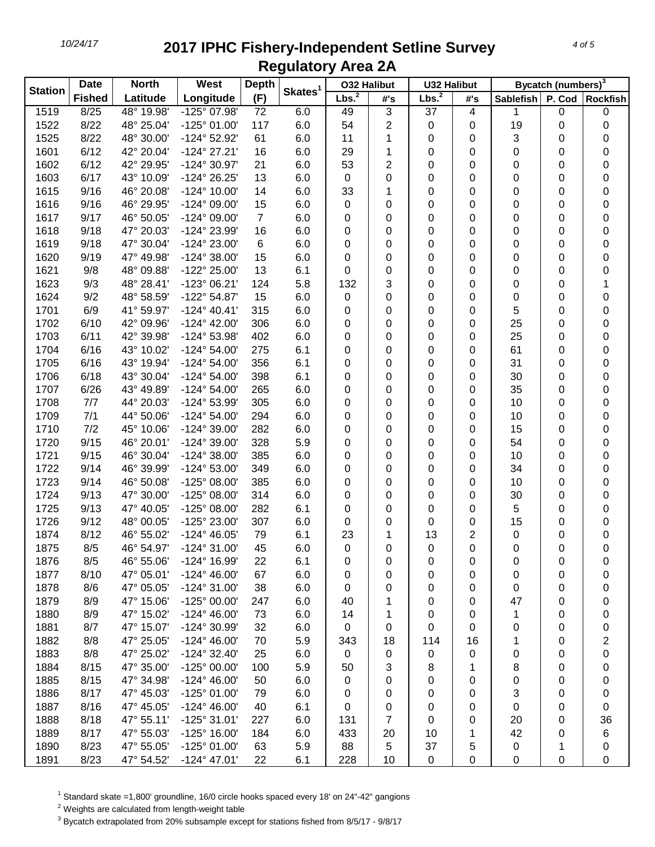| <b>Station</b> | <b>Date</b>   | <b>North</b> | West                  | <b>Depth</b>   |                     | <b>032 Halibut</b><br><b>U32 Halibut</b> |    |                   | Bycatch (numbers) <sup>3</sup> |                  |   |                         |
|----------------|---------------|--------------|-----------------------|----------------|---------------------|------------------------------------------|----|-------------------|--------------------------------|------------------|---|-------------------------|
|                | <b>Fished</b> | Latitude     | Longitude             | (F)            | Skates <sup>1</sup> | Lbs. <sup>2</sup>                        | #s | Lbs. <sup>2</sup> | #'s                            | <b>Sablefish</b> |   | P. Cod   Rockfish       |
| 1519           | 8/25          | 48° 19.98'   | -125° 07.98'          | 72             | 6.0                 | 49                                       | 3  | 37                | 4                              | 1                | 0 | 0                       |
| 1522           | 8/22          | 48° 25.04'   | -125° 01.00'          | 117            | 6.0                 | 54                                       | 2  | 0                 | 0                              | 19               | 0 | 0                       |
| 1525           | 8/22          | 48° 30.00'   | -124° 52.92'          | 61             | 6.0                 | 11                                       | 1  | 0                 | 0                              | 3                | 0 | 0                       |
| 1601           | 6/12          | 42° 20.04'   | $-124^{\circ}$ 27.21' | 16             | 6.0                 | 29                                       | 1  | 0                 | 0                              | 0                | 0 | 0                       |
| 1602           | 6/12          | 42° 29.95'   | -124° 30.97'          | 21             | 6.0                 | 53                                       | 2  | 0                 | 0                              | 0                | 0 | 0                       |
| 1603           | 6/17          | 43° 10.09'   | -124° 26.25'          | 13             | 6.0                 | $\pmb{0}$                                | 0  | 0                 | 0                              | 0                | 0 | 0                       |
| 1615           | 9/16          | 46° 20.08'   | -124° 10.00'          | 14             | 6.0                 | 33                                       | 1  | 0                 | 0                              | 0                | 0 | 0                       |
| 1616           | 9/16          | 46° 29.95'   | -124° 09.00'          | 15             | 6.0                 | 0                                        | 0  | 0                 | 0                              | 0                | 0 | $\pmb{0}$               |
| 1617           | 9/17          | 46° 50.05'   | -124° 09.00'          | $\overline{7}$ | 6.0                 | 0                                        | 0  | 0                 | 0                              | 0                | 0 | $\pmb{0}$               |
| 1618           | 9/18          | 47° 20.03'   | -124° 23.99'          | 16             | 6.0                 | 0                                        | 0  | 0                 | 0                              | 0                | 0 | 0                       |
| 1619           | 9/18          | 47° 30.04'   | -124° 23.00'          | 6              | 6.0                 | 0                                        | 0  | 0                 | 0                              | 0                | 0 | 0                       |
| 1620           | 9/19          | 47° 49.98'   | $-124^{\circ}$ 38.00' | 15             | 6.0                 | 0                                        | 0  | 0                 | 0                              | 0                | 0 | $\pmb{0}$               |
| 1621           | 9/8           | 48° 09.88'   | -122° 25.00'          | 13             | 6.1                 | 0                                        | 0  | 0                 | 0                              | 0                | 0 | 0                       |
| 1623           | 9/3           | 48° 28.41'   | -123° 06.21'          | 124            | 5.8                 | 132                                      | 3  | 0                 | 0                              | 0                | 0 |                         |
| 1624           | 9/2           | 48° 58.59'   | -122° 54.87'          | 15             | 6.0                 | 0                                        | 0  | 0                 | 0                              | 0                | 0 | 0                       |
| 1701           | 6/9           | 41° 59.97'   | $-124^{\circ}$ 40.41' | 315            | 6.0                 | 0                                        | 0  | 0                 | 0                              | 5                | 0 | 0                       |
| 1702           | 6/10          | 42° 09.96'   | $-124^{\circ}$ 42.00' | 306            | 6.0                 | 0                                        | 0  | 0                 | 0                              | 25               | 0 | 0                       |
| 1703           | 6/11          | 42° 39.98'   | -124° 53.98'          | 402            | 6.0                 | 0                                        | 0  | 0                 | 0                              | 25               | 0 | 0                       |
| 1704           | 6/16          | 43° 10.02'   | $-124^{\circ} 54.00'$ | 275            | 6.1                 | 0                                        | 0  | 0                 | 0                              | 61               | 0 | 0                       |
| 1705           | 6/16          | 43° 19.94'   | $-124^{\circ} 54.00'$ | 356            | 6.1                 | 0                                        | 0  | 0                 | 0                              | 31               | 0 | 0                       |
| 1706           | 6/18          | 43° 30.04'   | $-124^{\circ} 54.00'$ | 398            | 6.1                 | 0                                        | 0  | 0                 | 0                              | 30               | 0 | 0                       |
| 1707           | 6/26          | 43° 49.89'   | $-124^{\circ} 54.00'$ | 265            | 6.0                 | 0                                        | 0  | 0                 | 0                              | 35               | 0 | 0                       |
| 1708           | 7/7           | 44° 20.03'   | -124° 53.99'          | 305            | 6.0                 | 0                                        | 0  | 0                 | 0                              | 10               | 0 | 0                       |
| 1709           | 7/1           | 44° 50.06'   | $-124^{\circ} 54.00'$ | 294            | 6.0                 | 0                                        | 0  | 0                 | 0                              | 10               | 0 | 0                       |
| 1710           | 7/2           | 45° 10.06'   | -124° 39.00'          | 282            | 6.0                 | 0                                        | 0  | 0                 | 0                              | 15               | 0 | 0                       |
| 1720           | 9/15          | 46° 20.01'   | -124° 39.00'          | 328            | 5.9                 | 0                                        | 0  | 0                 | 0                              | 54               | 0 | 0                       |
| 1721           | 9/15          | 46° 30.04'   | $-124^{\circ} 38.00'$ | 385            | 6.0                 | 0                                        | 0  | 0                 | 0                              | 10               | 0 | 0                       |
| 1722           | 9/14          | 46° 39.99'   | -124° 53.00'          | 349            | 6.0                 | 0                                        | 0  | 0                 | 0                              | 34               | 0 | 0                       |
| 1723           | 9/14          | 46° 50.08'   | $-125^{\circ}$ 08.00' | 385            | 6.0                 | 0                                        | 0  | 0                 | 0                              | 10               | 0 | $\pmb{0}$               |
| 1724           | 9/13          | 47° 30.00    | $-125^{\circ}$ 08.00' | 314            | 6.0                 | 0                                        | 0  | 0                 | 0                              | 30               | 0 | 0                       |
| 1725           | 9/13          | 47° 40.05'   | $-125^{\circ}$ 08.00' | 282            | 6.1                 | 0                                        | 0  | 0                 | 0                              | 5                | 0 | 0                       |
| 1726           | 9/12          | 48° 00.05'   | -125° 23.00'          | 307            | 6.0                 | 0                                        | 0  | 0                 | 0                              | 15               | 0 | 0                       |
| 1874           | 8/12          | 46° 55.02'   | $-124^{\circ}$ 46.05' | 79             | 6.1                 | 23                                       | 1  | 13                | 2                              | 0                | 0 | 0                       |
| 1875           | 8/5           | 46° 54.97'   | $-124^{\circ} 31.00'$ | 45             | 6.0                 | 0                                        | 0  | 0                 | 0                              | 0                | 0 | 0                       |
| 1876           | 8/5           | 46° 55.06'   | -124° 16.99'          | 22             | 6.1                 | 0                                        | 0  | 0                 | 0                              | 0                | 0 | 0                       |
| 1877           | 8/10          | 47° 05.01'   | $-124^{\circ}$ 46.00' | 67             | 6.0                 | 0                                        | 0  | 0                 | 0                              | 0                | 0 | 0                       |
| 1878           | 8/6           | 47° 05.05'   | $-124^{\circ} 31.00'$ | 38             | 6.0                 | 0                                        | 0  | 0                 | 0                              | 0                | 0 | 0                       |
| 1879           | 8/9           | 47° 15.06'   | -125° 00.00'          | 247            | 6.0                 | 40                                       | 1  | 0                 | 0                              | 47               | 0 | 0                       |
| 1880           | 8/9           | 47° 15.02'   | $-124^{\circ}$ 46.00' | 73             | 6.0                 | 14                                       | 1  | 0                 | 0                              | 1                | 0 | 0                       |
| 1881           | 8/7           | 47° 15.07'   | -124° 30.99'          | 32             | 6.0                 | 0                                        | 0  | 0                 | 0                              | 0                | 0 | 0                       |
| 1882           | 8/8           | 47° 25.05'   | $-124^{\circ}$ 46.00' | 70             | 5.9                 | 343                                      | 18 | 114               | 16                             | 1                | 0 | $\overline{\mathbf{c}}$ |
| 1883           | 8/8           | 47° 25.02'   | $-124^{\circ}$ 32.40' | 25             | 6.0                 | 0                                        | 0  | 0                 | 0                              | 0                | 0 | 0                       |
| 1884           | 8/15          | 47° 35.00'   | -125° 00.00'          | 100            | 5.9                 | 50                                       | 3  | 8                 | 1                              | 8                | 0 | 0                       |
| 1885           | 8/15          | 47° 34.98'   | $-124^{\circ}$ 46.00' | 50             | 6.0                 | 0                                        | 0  | 0                 | 0                              | 0                | 0 | 0                       |
| 1886           | 8/17          | 47° 45.03'   | $-125^{\circ}$ 01.00' | 79             | 6.0                 | 0                                        | 0  | 0                 | 0                              | 3                | 0 | 0                       |
| 1887           | 8/16          | 47° 45.05'   | $-124^{\circ}$ 46.00' | 40             | 6.1                 | 0                                        | 0  | 0                 | 0                              | 0                | 0 | 0                       |
| 1888           | 8/18          | 47° 55.11'   | $-125°31.01'$         | 227            | 6.0                 | 131                                      | 7  | 0                 | 0                              | 20               | 0 | 36                      |
| 1889           | 8/17          | 47° 55.03'   | $-125^{\circ}$ 16.00  | 184            | 6.0                 | 433                                      | 20 | 10                | 1                              | 42               | 0 | 6                       |
| 1890           | 8/23          | 47° 55.05'   | -125° 01.00'          | 63             | 5.9                 | 88                                       | 5  | 37                | 5                              | 0                | 1 | 0                       |
| 1891           | 8/23          | 47° 54.52'   | $-124^{\circ}$ 47.01' | 22             | 6.1                 | 228                                      | 10 | 0                 | 0                              | 0                | 0 | 0                       |

 $<sup>1</sup>$  Standard skate =1,800' groundline, 16/0 circle hooks spaced every 18' on 24"-42" gangions</sup>

Weights are calculated from length-weight table